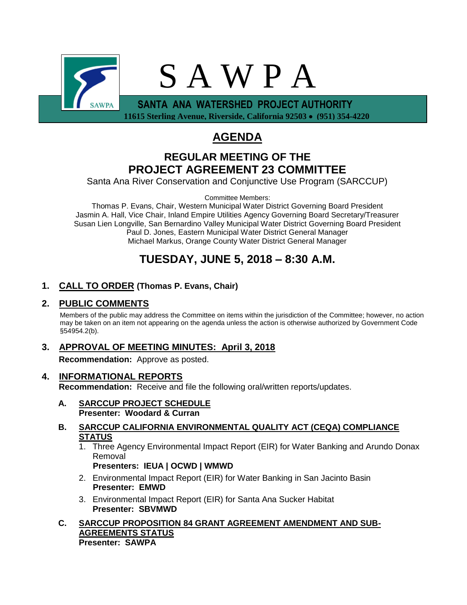

 **11615 Sterling Avenue, Riverside, California 92503 (951) 354-4220**

# **AGENDA**

## **REGULAR MEETING OF THE PROJECT AGREEMENT 23 COMMITTEE**

Santa Ana River Conservation and Conjunctive Use Program (SARCCUP)

Committee Members:

Thomas P. Evans, Chair, Western Municipal Water District Governing Board President Jasmin A. Hall, Vice Chair, Inland Empire Utilities Agency Governing Board Secretary/Treasurer Susan Lien Longville, San Bernardino Valley Municipal Water District Governing Board President Paul D. Jones, Eastern Municipal Water District General Manager Michael Markus, Orange County Water District General Manager

## **TUESDAY, JUNE 5, 2018 – 8:30 A.M.**

### **1. CALL TO ORDER (Thomas P. Evans, Chair)**

#### **2. PUBLIC COMMENTS**

Members of the public may address the Committee on items within the jurisdiction of the Committee; however, no action may be taken on an item not appearing on the agenda unless the action is otherwise authorized by Government Code §54954.2(b).

### **3. APPROVAL OF MEETING MINUTES: April 3, 2018**

**Recommendation:** Approve as posted.

- **4. INFORMATIONAL REPORTS Recommendation:** Receive and file the following oral/written reports/updates.
	- **A. SARCCUP PROJECT SCHEDULE Presenter: Woodard & Curran**
	- **B. SARCCUP CALIFORNIA ENVIRONMENTAL QUALITY ACT (CEQA) COMPLIANCE STATUS**
		- 1. Three Agency Environmental Impact Report (EIR) for Water Banking and Arundo Donax Removal

**Presenters: IEUA | OCWD | WMWD**

- 2. Environmental Impact Report (EIR) for Water Banking in San Jacinto Basin **Presenter: EMWD**
- 3. Environmental Impact Report (EIR) for Santa Ana Sucker Habitat **Presenter: SBVMWD**
- **C. SARCCUP PROPOSITION 84 GRANT AGREEMENT AMENDMENT AND SUB-AGREEMENTS STATUS Presenter: SAWPA**